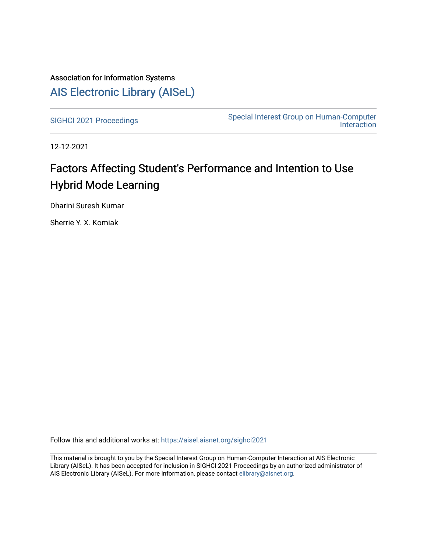### Association for Information Systems [AIS Electronic Library \(AISeL\)](https://aisel.aisnet.org/)

[SIGHCI 2021 Proceedings](https://aisel.aisnet.org/sighci2021)<br>
Special Interest Group on Human-Computer [Interaction](https://aisel.aisnet.org/sighci) 

12-12-2021

# Factors Affecting Student's Performance and Intention to Use Hybrid Mode Learning

Dharini Suresh Kumar

Sherrie Y. X. Komiak

Follow this and additional works at: [https://aisel.aisnet.org/sighci2021](https://aisel.aisnet.org/sighci2021?utm_source=aisel.aisnet.org%2Fsighci2021%2F9&utm_medium=PDF&utm_campaign=PDFCoverPages) 

This material is brought to you by the Special Interest Group on Human-Computer Interaction at AIS Electronic Library (AISeL). It has been accepted for inclusion in SIGHCI 2021 Proceedings by an authorized administrator of AIS Electronic Library (AISeL). For more information, please contact [elibrary@aisnet.org](mailto:elibrary@aisnet.org%3E).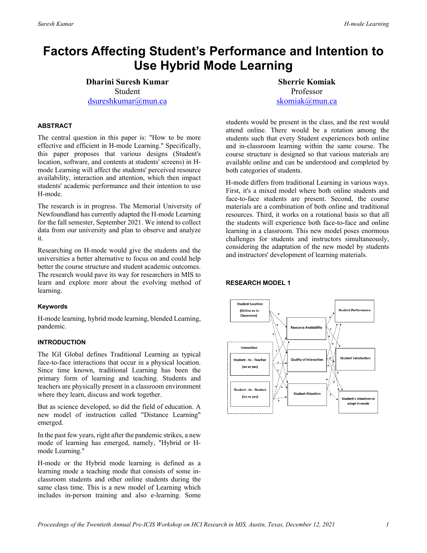## **Factors Affecting Student's Performance and Intention to Use Hybrid Mode Learning**

**Dharini Suresh Kumar** Student [dsureshkumar@mun.ca](mailto:dsureshkumar@mun.ca) 

#### **ABSTRACT**

The central question in this paper is: "How to be more effective and efficient in H-mode Learning." Specifically, this paper proposes that various designs (Student's location, software, and contents at students' screens) in Hmode Learning will affect the students' perceived resource availability, interaction and attention, which then impact students' academic performance and their intention to use H-mode.

The research is in progress. The Memorial University of Newfoundland has currently adapted the H-mode Learning for the fall semester, September 2021. We intend to collect data from our university and plan to observe and analyze it.

Researching on H-mode would give the students and the universities a better alternative to focus on and could help better the course structure and student academic outcomes. The research would pave its way for researchers in MIS to learn and explore more about the evolving method of learning.

#### **Keywords**

H-mode learning, hybrid mode learning, blended Learning, pandemic.

#### **INTRODUCTION**

The IGI Global defines Traditional Learning as typical face-to-face interactions that occur in a physical location. Since time known, traditional Learning has been the primary form of learning and teaching. Students and teachers are physically present in a classroom environment where they learn, discuss and work together.

But as science developed, so did the field of education. A new model of instruction called "Distance Learning" emerged.

In the past few years, right after the pandemic strikes, a new mode of learning has emerged, namely, "Hybrid or Hmode Learning."

H-mode or the Hybrid mode learning is defined as a learning mode a teaching mode that consists of some inclassroom students and other online students during the same class time. This is a new model of Learning which includes in-person training and also e-learning. Some

**Sherrie Komiak** Professor [skomiak@mun.ca](mailto:skomiak@mun.ca) 

students would be present in the class, and the rest would attend online. There would be a rotation among the students such that every Student experiences both online and in-classroom learning within the same course. The course structure is designed so that various materials are available online and can be understood and completed by both categories of students.

H-mode differs from traditional Learning in various ways. First, it's a mixed model where both online students and face-to-face students are present. Second, the course materials are a combination of both online and traditional resources. Third, it works on a rotational basis so that all the students will experience both face-to-face and online learning in a classroom. This new model poses enormous challenges for students and instructors simultaneously, considering the adaptation of the new model by students and instructors' development of learning materials.

#### **RESEARCH MODEL 1**

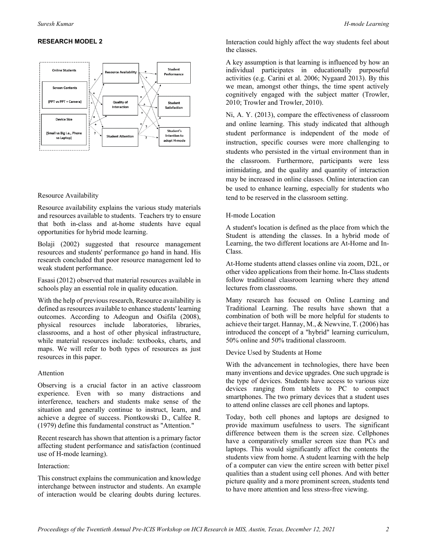#### **RESEARCH MODEL 2**



#### Resource Availability

Resource availability explains the various study materials and resources available to students. Teachers try to ensure that both in-class and at-home students have equal opportunities for hybrid mode learning.

Bolaji (2002) suggested that resource management resources and students' performance go hand in hand. His research concluded that poor resource management led to weak student performance.

Fasasi (2012) observed that material resources available in schools play an essential role in quality education.

With the help of previous research, Resource availability is defined as resources available to enhance students' learning outcomes. According to Adeogun and Osifila (2008), physical resources include laboratories, libraries, classrooms, and a host of other physical infrastructure, while material resources include: textbooks, charts, and maps. We will refer to both types of resources as just resources in this paper.

#### Attention

Observing is a crucial factor in an active classroom experience. Even with so many distractions and interference, teachers and students make sense of the situation and generally continue to instruct, learn, and achieve a degree of success. Piontkowski D., Calfee R. (1979) define this fundamental construct as "Attention."

Recent research has shown that attention is a primary factor affecting student performance and satisfaction (continued use of H-mode learning).

#### Interaction:

This construct explains the communication and knowledge interchange between instructor and students. An example of interaction would be clearing doubts during lectures.

Interaction could highly affect the way students feel about the classes.

A key assumption is that learning is influenced by how an individual participates in educationally purposeful activities (e.g. Carini et al. 2006; Nygaard 2013). By this we mean, amongst other things, the time spent actively cognitively engaged with the subject matter (Trowler, 2010; Trowler and Trowler, 2010).

Ni, A. Y. (2013), compare the effectiveness of classroom and online learning. This study indicated that although student performance is independent of the mode of instruction, specific courses were more challenging to students who persisted in the virtual environment than in the classroom. Furthermore, participants were less intimidating, and the quality and quantity of interaction may be increased in online classes. Online interaction can be used to enhance learning, especially for students who tend to be reserved in the classroom setting.

#### H-mode Location

A student's location is defined as the place from which the Student is attending the classes. In a hybrid mode of Learning, the two different locations are At-Home and In-Class.

At-Home students attend classes online via zoom, D2L, or other video applications from their home. In-Class students follow traditional classroom learning where they attend lectures from classrooms.

Many research has focused on Online Learning and Traditional Learning. The results have shown that a combination of both will be more helpful for students to achieve their target. Hannay, M., & Newvine, T. (2006) has introduced the concept of a "hybrid" learning curriculum, 50% online and 50% traditional classroom.

Device Used by Students at Home

With the advancement in technologies, there have been many inventions and device upgrades. One such upgrade is the type of devices. Students have access to various size devices ranging from tablets to PC to compact smartphones. The two primary devices that a student uses to attend online classes are cell phones and laptops.

Today, both cell phones and laptops are designed to provide maximum usefulness to users. The significant difference between them is the screen size. Cellphones have a comparatively smaller screen size than PCs and laptops. This would significantly affect the contents the students view from home. A student learning with the help of a computer can view the entire screen with better pixel qualities than a student using cell phones. And with better picture quality and a more prominent screen, students tend to have more attention and less stress-free viewing.